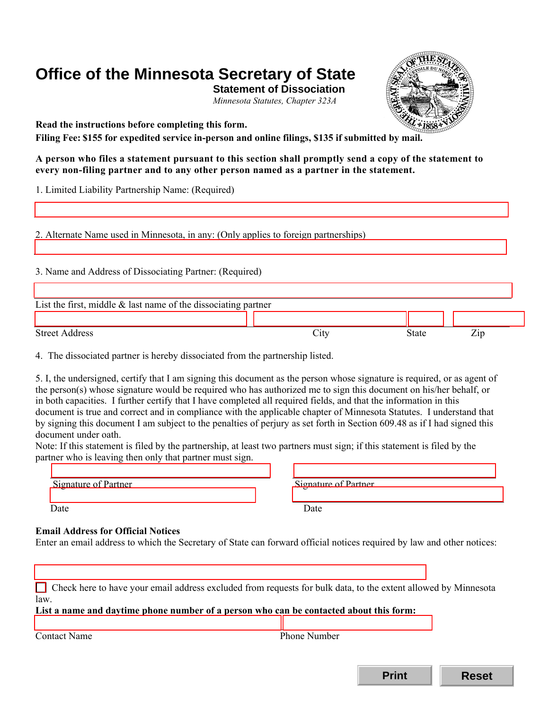# **Office of the Minnesota Secretary of State**

**Statement of Dissociation**  *Minnesota Statutes, Chapter 323A* 



**Read the instructions before completing this form.**<br>Filing Fee: \$155 for expedited service in-person and online filings, \$135 if submitted by mail.

**A person who files a statement pursuant to this section shall promptly send a copy of the statement to every non-filing partner and to any other person named as a partner in the statement.** 

1. Limited Liability Partnership Name: (Required)

2. Alternate Name used in Minnesota, in any: (Only applies to foreign partnerships)

3. Name and Address of Dissociating Partner: (Required)

| List the first, middle $\&$ last name of the dissociating partner |                   |       |             |  |  |
|-------------------------------------------------------------------|-------------------|-------|-------------|--|--|
|                                                                   |                   |       |             |  |  |
| <b>Street Address</b>                                             | $\mathcal{L}$ ltv | State | $\angle$ ip |  |  |

4. The dissociated partner is hereby dissociated from the partnership listed.

5. I, the undersigned, certify that I am signing this document as the person whose signature is required, or as agent of the person(s) whose signature would be required who has authorized me to sign this document on his/her behalf, or in both capacities. I further certify that I have completed all required fields, and that the information in this document is true and correct and in compliance with the applicable chapter of Minnesota Statutes. I understand that by signing this document I am subject to the penalties of perjury as set forth in Section 609.48 as if I had signed this document under oath.

Note: If this statement is filed by the partnership, at least two partners must sign; if this statement is filed by the partner who is leaving then only that partner must sign.

| Signature of Partner     | Signature of Partner |
|--------------------------|----------------------|
| $\overline{\phantom{a}}$ |                      |
|                          |                      |
| )ate                     | Date                 |

# **Email Address for Official Notices**

Enter an email address to which the Secretary of State can forward official notices required by law and other notices:

| Check here to have your email address excluded from requests for bulk data, to the extent allowed by Minnesota |                     |  |  |  |
|----------------------------------------------------------------------------------------------------------------|---------------------|--|--|--|
| law.                                                                                                           |                     |  |  |  |
| List a name and daytime phone number of a person who can be contacted about this form:                         |                     |  |  |  |
|                                                                                                                |                     |  |  |  |
| <b>Contact Name</b>                                                                                            | <b>Phone Number</b> |  |  |  |

**Print Reset**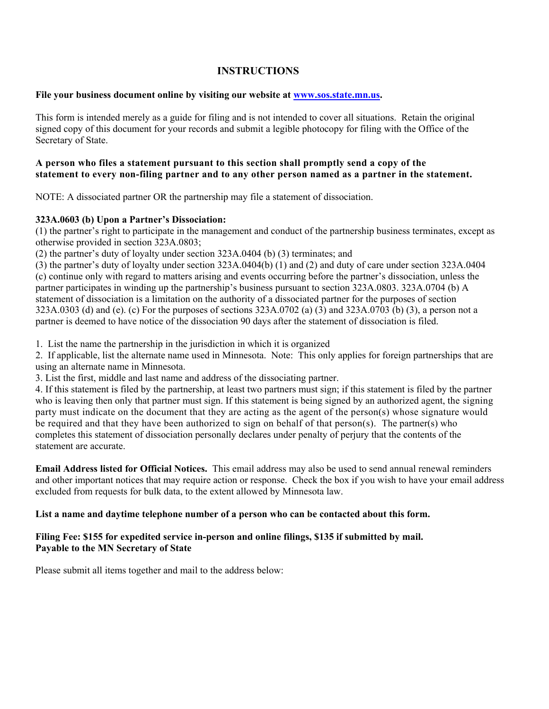# **INSTRUCTIONS**

# **File your business document online by visiting our website at [www.sos.state.mn.us.](http://www.sos.state.mn.us/)**

This form is intended merely as a guide for filing and is not intended to cover all situations. Retain the original signed copy of this document for your records and submit a legible photocopy for filing with the Office of the Secretary of State.

#### **A person who files a statement pursuant to this section shall promptly send a copy of the statement to every non-filing partner and to any other person named as a partner in the statement.**

NOTE: A dissociated partner OR the partnership may file a statement of dissociation.

# **323A.0603 (b) Upon a Partner's Dissociation:**

(1) the partner's right to participate in the management and conduct of the partnership business terminates, except as otherwise provided in section 323A.0803;

(2) the partner's duty of loyalty under section 323A.0404 (b) (3) terminates; and

 partner is deemed to have notice of the dissociation 90 days after the statement of dissociation is filed. (3) the partner's duty of loyalty under section 323A.0404(b) (1) and (2) and duty of care under section 323A.0404 (c) continue only with regard to matters arising and events occurring before the partner's dissociation, unless the partner participates in winding up the partnership's business pursuant to section 323A.0803. 323A.0704 (b) A statement of dissociation is a limitation on the authority of a dissociated partner for the purposes of section 323A.0303 (d) and (e). (c) For the purposes of sections 323A.0702 (a) (3) and 323A.0703 (b) (3), a person not a

1. List the name the partnership in the jurisdiction in which it is organized

2. If applicable, list the alternate name used in Minnesota. Note: This only applies for foreign partnerships that are using an alternate name in Minnesota.

3. List the first, middle and last name and address of the dissociating partner.

 4. If this statement is filed by the partnership, at least two partners must sign; if this statement is filed by the partner who is leaving then only that partner must sign. If this statement is being signed by an authorized agent, the signing be required and that they have been authorized to sign on behalf of that person(s). The partner(s) who party must indicate on the document that they are acting as the agent of the person(s) whose signature would completes this statement of dissociation personally declares under penalty of perjury that the contents of the statement are accurate.

 **Email Address listed for Official Notices.** This email address may also be used to send annual renewal reminders and other important notices that may require action or response. Check the box if you wish to have your email address excluded from requests for bulk data, to the extent allowed by Minnesota law.

#### **List a name and daytime telephone number of a person who can be contacted about this form.**

# **Filing Fee: \$155 for expedited service in-person and online filings, \$135 if submitted by mail. Payable to the MN Secretary of State**

Please submit all items together and mail to the address below: